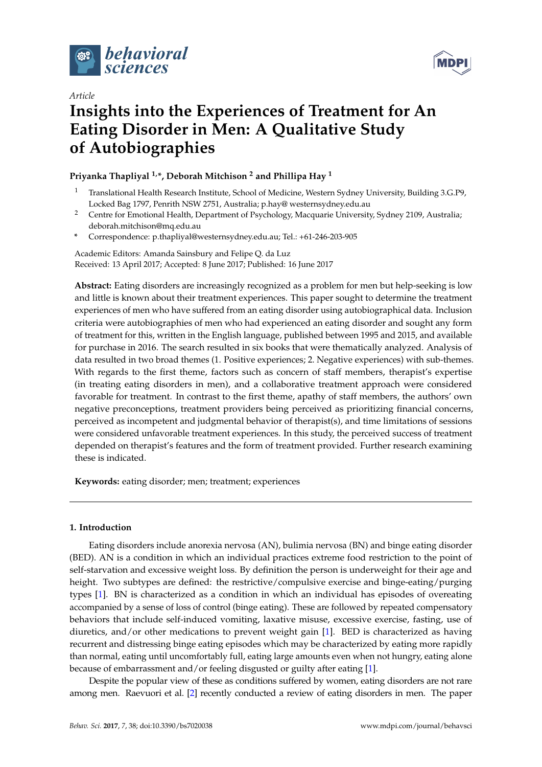



# *Article*

# **Insights into the Experiences of Treatment for An Eating Disorder in Men: A Qualitative Study of Autobiographies**

# **Priyanka Thapliyal 1,\*, Deborah Mitchison <sup>2</sup> and Phillipa Hay <sup>1</sup>**

- <sup>1</sup> Translational Health Research Institute, School of Medicine, Western Sydney University, Building 3.G.P9, Locked Bag 1797, Penrith NSW 2751, Australia; p.hay@ westernsydney.edu.au
- <sup>2</sup> Centre for Emotional Health, Department of Psychology, Macquarie University, Sydney 2109, Australia; deborah.mitchison@mq.edu.au
- **\*** Correspondence: p.thapliyal@westernsydney.edu.au; Tel.: +61-246-203-905

Academic Editors: Amanda Sainsbury and Felipe Q. da Luz Received: 13 April 2017; Accepted: 8 June 2017; Published: 16 June 2017

**Abstract:** Eating disorders are increasingly recognized as a problem for men but help-seeking is low and little is known about their treatment experiences. This paper sought to determine the treatment experiences of men who have suffered from an eating disorder using autobiographical data. Inclusion criteria were autobiographies of men who had experienced an eating disorder and sought any form of treatment for this, written in the English language, published between 1995 and 2015, and available for purchase in 2016. The search resulted in six books that were thematically analyzed. Analysis of data resulted in two broad themes (1. Positive experiences; 2. Negative experiences) with sub-themes. With regards to the first theme, factors such as concern of staff members, therapist's expertise (in treating eating disorders in men), and a collaborative treatment approach were considered favorable for treatment. In contrast to the first theme, apathy of staff members, the authors' own negative preconceptions, treatment providers being perceived as prioritizing financial concerns, perceived as incompetent and judgmental behavior of therapist(s), and time limitations of sessions were considered unfavorable treatment experiences. In this study, the perceived success of treatment depended on therapist's features and the form of treatment provided. Further research examining these is indicated.

**Keywords:** eating disorder; men; treatment; experiences

# **1. Introduction**

Eating disorders include anorexia nervosa (AN), bulimia nervosa (BN) and binge eating disorder (BED). AN is a condition in which an individual practices extreme food restriction to the point of self-starvation and excessive weight loss. By definition the person is underweight for their age and height. Two subtypes are defined: the restrictive/compulsive exercise and binge-eating/purging types [\[1\]](#page-13-0). BN is characterized as a condition in which an individual has episodes of overeating accompanied by a sense of loss of control (binge eating). These are followed by repeated compensatory behaviors that include self-induced vomiting, laxative misuse, excessive exercise, fasting, use of diuretics, and/or other medications to prevent weight gain [\[1\]](#page-13-0). BED is characterized as having recurrent and distressing binge eating episodes which may be characterized by eating more rapidly than normal, eating until uncomfortably full, eating large amounts even when not hungry, eating alone because of embarrassment and/or feeling disgusted or guilty after eating [\[1\]](#page-13-0).

Despite the popular view of these as conditions suffered by women, eating disorders are not rare among men. Raevuori et al. [\[2\]](#page-13-1) recently conducted a review of eating disorders in men. The paper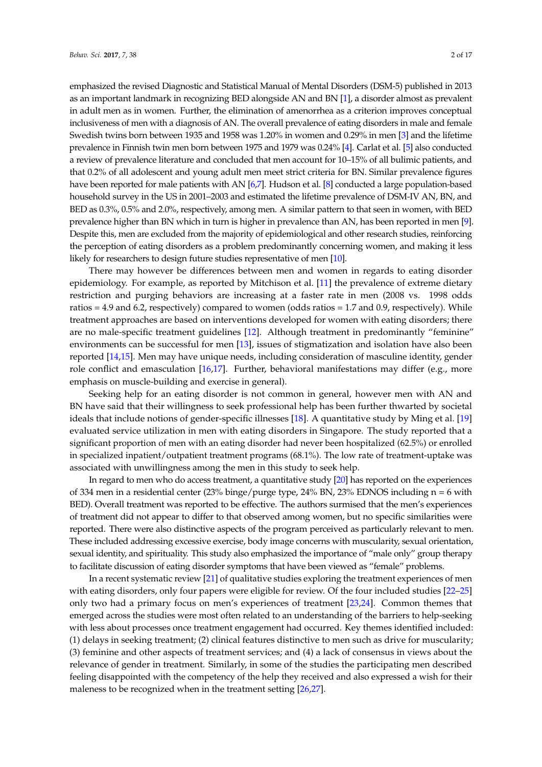emphasized the revised Diagnostic and Statistical Manual of Mental Disorders (DSM-5) published in 2013 as an important landmark in recognizing BED alongside AN and BN [\[1\]](#page-13-0), a disorder almost as prevalent in adult men as in women. Further, the elimination of amenorrhea as a criterion improves conceptual inclusiveness of men with a diagnosis of AN. The overall prevalence of eating disorders in male and female Swedish twins born between 1935 and 1958 was 1.20% in women and 0.29% in men [\[3\]](#page-14-0) and the lifetime prevalence in Finnish twin men born between 1975 and 1979 was 0.24% [\[4\]](#page-14-1). Carlat et al. [\[5\]](#page-14-2) also conducted a review of prevalence literature and concluded that men account for 10–15% of all bulimic patients, and that 0.2% of all adolescent and young adult men meet strict criteria for BN. Similar prevalence figures have been reported for male patients with AN [\[6](#page-14-3)[,7\]](#page-14-4). Hudson et al. [\[8\]](#page-14-5) conducted a large population-based household survey in the US in 2001–2003 and estimated the lifetime prevalence of DSM-IV AN, BN, and BED as 0.3%, 0.5% and 2.0%, respectively, among men. A similar pattern to that seen in women, with BED prevalence higher than BN which in turn is higher in prevalence than AN, has been reported in men [\[9\]](#page-14-6). Despite this, men are excluded from the majority of epidemiological and other research studies, reinforcing the perception of eating disorders as a problem predominantly concerning women, and making it less likely for researchers to design future studies representative of men [\[10\]](#page-14-7).

There may however be differences between men and women in regards to eating disorder epidemiology. For example, as reported by Mitchison et al. [\[11\]](#page-14-8) the prevalence of extreme dietary restriction and purging behaviors are increasing at a faster rate in men (2008 vs. 1998 odds ratios = 4.9 and 6.2, respectively) compared to women (odds ratios = 1.7 and 0.9, respectively). While treatment approaches are based on interventions developed for women with eating disorders; there are no male-specific treatment guidelines [\[12\]](#page-14-9). Although treatment in predominantly "feminine" environments can be successful for men [\[13\]](#page-14-10), issues of stigmatization and isolation have also been reported [\[14](#page-14-11)[,15\]](#page-14-12). Men may have unique needs, including consideration of masculine identity, gender role conflict and emasculation [\[16](#page-14-13)[,17\]](#page-14-14). Further, behavioral manifestations may differ (e.g., more emphasis on muscle-building and exercise in general).

Seeking help for an eating disorder is not common in general, however men with AN and BN have said that their willingness to seek professional help has been further thwarted by societal ideals that include notions of gender-specific illnesses [\[18\]](#page-14-15). A quantitative study by Ming et al. [\[19\]](#page-14-16) evaluated service utilization in men with eating disorders in Singapore. The study reported that a significant proportion of men with an eating disorder had never been hospitalized (62.5%) or enrolled in specialized inpatient/outpatient treatment programs (68.1%). The low rate of treatment-uptake was associated with unwillingness among the men in this study to seek help.

In regard to men who do access treatment, a quantitative study [\[20\]](#page-14-17) has reported on the experiences of 334 men in a residential center (23% binge/purge type, 24% BN, 23% EDNOS including n = 6 with BED). Overall treatment was reported to be effective. The authors surmised that the men's experiences of treatment did not appear to differ to that observed among women, but no specific similarities were reported. There were also distinctive aspects of the program perceived as particularly relevant to men. These included addressing excessive exercise, body image concerns with muscularity, sexual orientation, sexual identity, and spirituality. This study also emphasized the importance of "male only" group therapy to facilitate discussion of eating disorder symptoms that have been viewed as "female" problems.

In a recent systematic review [\[21\]](#page-14-18) of qualitative studies exploring the treatment experiences of men with eating disorders, only four papers were eligible for review. Of the four included studies [\[22](#page-14-19)[–25\]](#page-14-20) only two had a primary focus on men's experiences of treatment [\[23,](#page-14-21)[24\]](#page-14-22). Common themes that emerged across the studies were most often related to an understanding of the barriers to help-seeking with less about processes once treatment engagement had occurred. Key themes identified included: (1) delays in seeking treatment; (2) clinical features distinctive to men such as drive for muscularity; (3) feminine and other aspects of treatment services; and (4) a lack of consensus in views about the relevance of gender in treatment. Similarly, in some of the studies the participating men described feeling disappointed with the competency of the help they received and also expressed a wish for their maleness to be recognized when in the treatment setting [\[26,](#page-14-23)[27\]](#page-14-24).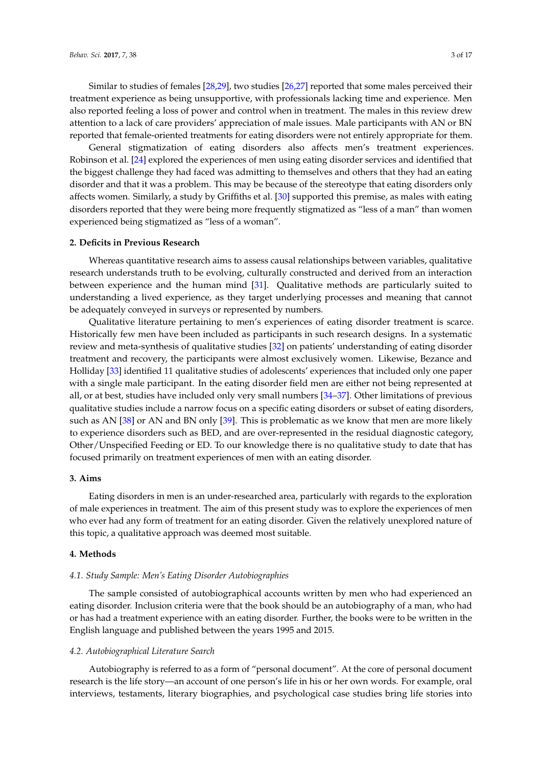Similar to studies of females [\[28,](#page-15-0)[29\]](#page-15-1), two studies [\[26,](#page-14-23)[27\]](#page-14-24) reported that some males perceived their treatment experience as being unsupportive, with professionals lacking time and experience. Men also reported feeling a loss of power and control when in treatment. The males in this review drew attention to a lack of care providers' appreciation of male issues. Male participants with AN or BN reported that female-oriented treatments for eating disorders were not entirely appropriate for them.

General stigmatization of eating disorders also affects men's treatment experiences. Robinson et al. [\[24\]](#page-14-22) explored the experiences of men using eating disorder services and identified that the biggest challenge they had faced was admitting to themselves and others that they had an eating disorder and that it was a problem. This may be because of the stereotype that eating disorders only affects women. Similarly, a study by Griffiths et al. [\[30\]](#page-15-2) supported this premise, as males with eating disorders reported that they were being more frequently stigmatized as "less of a man" than women experienced being stigmatized as "less of a woman".

#### **2. Deficits in Previous Research**

Whereas quantitative research aims to assess causal relationships between variables, qualitative research understands truth to be evolving, culturally constructed and derived from an interaction between experience and the human mind [\[31\]](#page-15-3). Qualitative methods are particularly suited to understanding a lived experience, as they target underlying processes and meaning that cannot be adequately conveyed in surveys or represented by numbers.

Qualitative literature pertaining to men's experiences of eating disorder treatment is scarce. Historically few men have been included as participants in such research designs. In a systematic review and meta-synthesis of qualitative studies [\[32\]](#page-15-4) on patients' understanding of eating disorder treatment and recovery, the participants were almost exclusively women. Likewise, Bezance and Holliday [\[33\]](#page-15-5) identified 11 qualitative studies of adolescents' experiences that included only one paper with a single male participant. In the eating disorder field men are either not being represented at all, or at best, studies have included only very small numbers [\[34](#page-15-6)[–37\]](#page-15-7). Other limitations of previous qualitative studies include a narrow focus on a specific eating disorders or subset of eating disorders, such as AN [\[38\]](#page-15-8) or AN and BN only [\[39\]](#page-15-9). This is problematic as we know that men are more likely to experience disorders such as BED, and are over-represented in the residual diagnostic category, Other/Unspecified Feeding or ED. To our knowledge there is no qualitative study to date that has focused primarily on treatment experiences of men with an eating disorder.

#### **3. Aims**

Eating disorders in men is an under-researched area, particularly with regards to the exploration of male experiences in treatment. The aim of this present study was to explore the experiences of men who ever had any form of treatment for an eating disorder. Given the relatively unexplored nature of this topic, a qualitative approach was deemed most suitable.

#### **4. Methods**

#### *4.1. Study Sample: Men's Eating Disorder Autobiographies*

The sample consisted of autobiographical accounts written by men who had experienced an eating disorder. Inclusion criteria were that the book should be an autobiography of a man, who had or has had a treatment experience with an eating disorder. Further, the books were to be written in the English language and published between the years 1995 and 2015.

#### *4.2. Autobiographical Literature Search*

Autobiography is referred to as a form of "personal document". At the core of personal document research is the life story—an account of one person's life in his or her own words. For example, oral interviews, testaments, literary biographies, and psychological case studies bring life stories into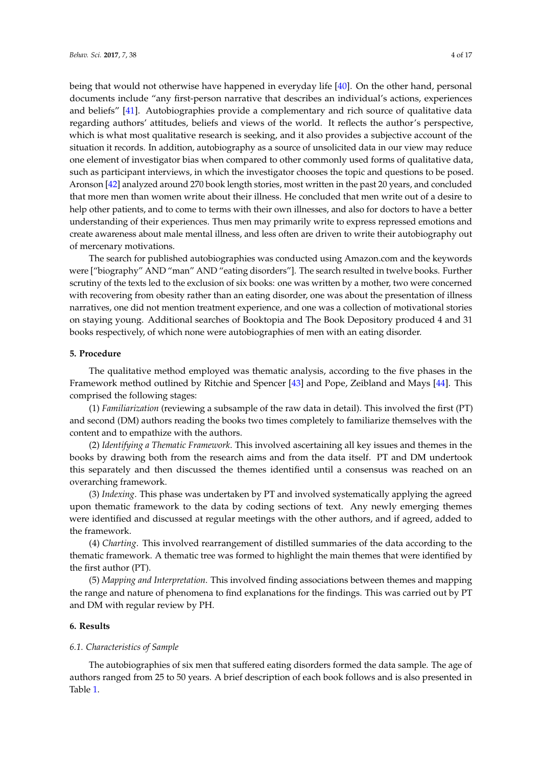being that would not otherwise have happened in everyday life [\[40\]](#page-15-10). On the other hand, personal documents include "any first-person narrative that describes an individual's actions, experiences and beliefs" [\[41\]](#page-15-11). Autobiographies provide a complementary and rich source of qualitative data regarding authors' attitudes, beliefs and views of the world. It reflects the author's perspective, which is what most qualitative research is seeking, and it also provides a subjective account of the situation it records. In addition, autobiography as a source of unsolicited data in our view may reduce one element of investigator bias when compared to other commonly used forms of qualitative data, such as participant interviews, in which the investigator chooses the topic and questions to be posed. Aronson [\[42\]](#page-15-12) analyzed around 270 book length stories, most written in the past 20 years, and concluded that more men than women write about their illness. He concluded that men write out of a desire to help other patients, and to come to terms with their own illnesses, and also for doctors to have a better understanding of their experiences. Thus men may primarily write to express repressed emotions and create awareness about male mental illness, and less often are driven to write their autobiography out of mercenary motivations.

The search for published autobiographies was conducted using Amazon.com and the keywords were ["biography" AND "man" AND "eating disorders"]. The search resulted in twelve books. Further scrutiny of the texts led to the exclusion of six books: one was written by a mother, two were concerned with recovering from obesity rather than an eating disorder, one was about the presentation of illness narratives, one did not mention treatment experience, and one was a collection of motivational stories on staying young. Additional searches of Booktopia and The Book Depository produced 4 and 31 books respectively, of which none were autobiographies of men with an eating disorder.

# **5. Procedure**

The qualitative method employed was thematic analysis, according to the five phases in the Framework method outlined by Ritchie and Spencer [\[43\]](#page-15-13) and Pope, Zeibland and Mays [\[44\]](#page-15-14). This comprised the following stages:

(1) *Familiarization* (reviewing a subsample of the raw data in detail). This involved the first (PT) and second (DM) authors reading the books two times completely to familiarize themselves with the content and to empathize with the authors.

(2) *Identifying a Thematic Framework*. This involved ascertaining all key issues and themes in the books by drawing both from the research aims and from the data itself. PT and DM undertook this separately and then discussed the themes identified until a consensus was reached on an overarching framework.

(3) *Indexing*. This phase was undertaken by PT and involved systematically applying the agreed upon thematic framework to the data by coding sections of text. Any newly emerging themes were identified and discussed at regular meetings with the other authors, and if agreed, added to the framework.

(4) *Charting*. This involved rearrangement of distilled summaries of the data according to the thematic framework. A thematic tree was formed to highlight the main themes that were identified by the first author (PT).

(5) *Mapping and Interpretation*. This involved finding associations between themes and mapping the range and nature of phenomena to find explanations for the findings. This was carried out by PT and DM with regular review by PH.

# **6. Results**

#### *6.1. Characteristics of Sample*

The autobiographies of six men that suffered eating disorders formed the data sample. The age of authors ranged from 25 to 50 years. A brief description of each book follows and is also presented in Table [1.](#page-5-0)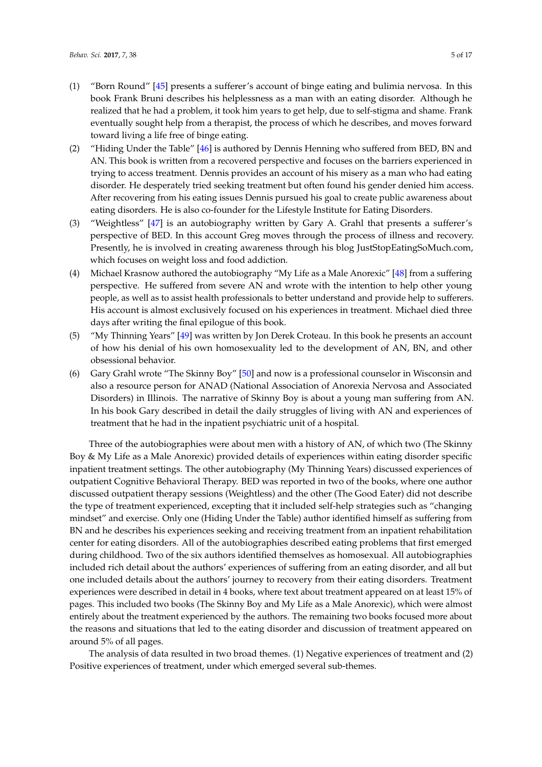- (1) "Born Round" [\[45\]](#page-15-15) presents a sufferer's account of binge eating and bulimia nervosa. In this book Frank Bruni describes his helplessness as a man with an eating disorder. Although he realized that he had a problem, it took him years to get help, due to self-stigma and shame. Frank eventually sought help from a therapist, the process of which he describes, and moves forward toward living a life free of binge eating.
- (2) "Hiding Under the Table" [\[46\]](#page-15-16) is authored by Dennis Henning who suffered from BED, BN and AN. This book is written from a recovered perspective and focuses on the barriers experienced in trying to access treatment. Dennis provides an account of his misery as a man who had eating disorder. He desperately tried seeking treatment but often found his gender denied him access. After recovering from his eating issues Dennis pursued his goal to create public awareness about eating disorders. He is also co-founder for the Lifestyle Institute for Eating Disorders.
- (3) "Weightless" [\[47\]](#page-15-17) is an autobiography written by Gary A. Grahl that presents a sufferer's perspective of BED. In this account Greg moves through the process of illness and recovery. Presently, he is involved in creating awareness through his blog JustStopEatingSoMuch.com, which focuses on weight loss and food addiction.
- (4) Michael Krasnow authored the autobiography "My Life as a Male Anorexic" [\[48\]](#page-15-18) from a suffering perspective. He suffered from severe AN and wrote with the intention to help other young people, as well as to assist health professionals to better understand and provide help to sufferers. His account is almost exclusively focused on his experiences in treatment. Michael died three days after writing the final epilogue of this book.
- (5) "My Thinning Years" [\[49\]](#page-15-19) was written by Jon Derek Croteau. In this book he presents an account of how his denial of his own homosexuality led to the development of AN, BN, and other obsessional behavior.
- (6) Gary Grahl wrote "The Skinny Boy" [\[50\]](#page-15-20) and now is a professional counselor in Wisconsin and also a resource person for ANAD (National Association of Anorexia Nervosa and Associated Disorders) in Illinois. The narrative of Skinny Boy is about a young man suffering from AN. In his book Gary described in detail the daily struggles of living with AN and experiences of treatment that he had in the inpatient psychiatric unit of a hospital.

Three of the autobiographies were about men with a history of AN, of which two (The Skinny Boy & My Life as a Male Anorexic) provided details of experiences within eating disorder specific inpatient treatment settings. The other autobiography (My Thinning Years) discussed experiences of outpatient Cognitive Behavioral Therapy. BED was reported in two of the books, where one author discussed outpatient therapy sessions (Weightless) and the other (The Good Eater) did not describe the type of treatment experienced, excepting that it included self-help strategies such as "changing mindset" and exercise. Only one (Hiding Under the Table) author identified himself as suffering from BN and he describes his experiences seeking and receiving treatment from an inpatient rehabilitation center for eating disorders. All of the autobiographies described eating problems that first emerged during childhood. Two of the six authors identified themselves as homosexual. All autobiographies included rich detail about the authors' experiences of suffering from an eating disorder, and all but one included details about the authors' journey to recovery from their eating disorders. Treatment experiences were described in detail in 4 books, where text about treatment appeared on at least 15% of pages. This included two books (The Skinny Boy and My Life as a Male Anorexic), which were almost entirely about the treatment experienced by the authors. The remaining two books focused more about the reasons and situations that led to the eating disorder and discussion of treatment appeared on around 5% of all pages.

The analysis of data resulted in two broad themes. (1) Negative experiences of treatment and (2) Positive experiences of treatment, under which emerged several sub-themes.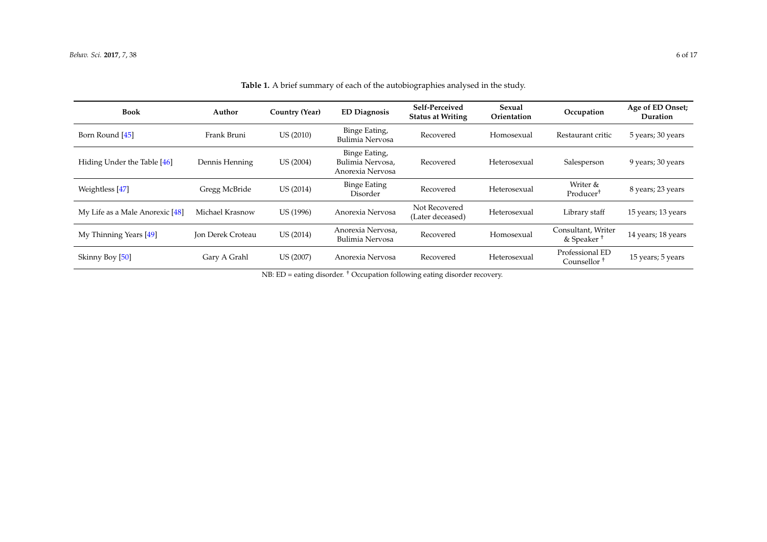| <b>Book</b>                     | Author                   | Country (Year) | <b>ED Diagnosis</b>                                   | Self-Perceived<br><b>Status at Writing</b> | Sexual<br>Orientation | Occupation                                   | Age of ED Onset;<br>Duration |
|---------------------------------|--------------------------|----------------|-------------------------------------------------------|--------------------------------------------|-----------------------|----------------------------------------------|------------------------------|
| Born Round [45]                 | Frank Bruni              | US (2010)      | Binge Eating,<br>Bulimia Nervosa                      | Recovered                                  | Homosexual            | Restaurant critic                            | 5 years; 30 years            |
| Hiding Under the Table [46]     | Dennis Henning           | US (2004)      | Binge Eating,<br>Bulimia Nervosa,<br>Anorexia Nervosa | Recovered                                  | Heterosexual          | Salesperson                                  | 9 years; 30 years            |
| Weightless [47]                 | Gregg McBride            | US (2014)      | <b>Binge Eating</b><br>Disorder                       | Recovered                                  | Heterosexual          | Writer &<br>Producer <sup>†</sup>            | 8 years; 23 years            |
| My Life as a Male Anorexic [48] | Michael Krasnow          | US (1996)      | Anorexia Nervosa                                      | Not Recovered<br>(Later deceased)          | Heterosexual          | Library staff                                | 15 years; 13 years           |
| My Thinning Years [49]          | <b>Jon Derek Croteau</b> | US (2014)      | Anorexia Nervosa,<br>Bulimia Nervosa                  | Recovered                                  | Homosexual            | Consultant, Writer<br>& Speaker <sup>+</sup> | 14 years; 18 years           |
| Skinny Boy [50]                 | Gary A Grahl             | US (2007)      | Anorexia Nervosa                                      | Recovered                                  | Heterosexual          | Professional ED<br>Counsellor <sup>+</sup>   | 15 years; 5 years            |

**Table 1.** A brief summary of each of the autobiographies analysed in the study.

<span id="page-5-0"></span>NB: ED = eating disorder. † Occupation following eating disorder recovery.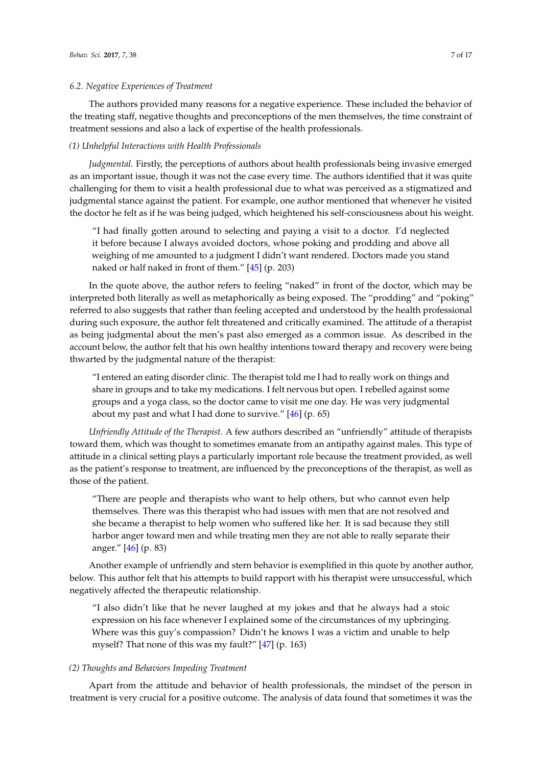#### *6.2. Negative Experiences of Treatment*

The authors provided many reasons for a negative experience. These included the behavior of the treating staff, negative thoughts and preconceptions of the men themselves, the time constraint of treatment sessions and also a lack of expertise of the health professionals.

# *(1) Unhelpful Interactions with Health Professionals*

*Judgmental.* Firstly, the perceptions of authors about health professionals being invasive emerged as an important issue, though it was not the case every time. The authors identified that it was quite challenging for them to visit a health professional due to what was perceived as a stigmatized and judgmental stance against the patient. For example, one author mentioned that whenever he visited the doctor he felt as if he was being judged, which heightened his self-consciousness about his weight.

"I had finally gotten around to selecting and paying a visit to a doctor. I'd neglected it before because I always avoided doctors, whose poking and prodding and above all weighing of me amounted to a judgment I didn't want rendered. Doctors made you stand naked or half naked in front of them." [\[45\]](#page-15-15) (p. 203)

In the quote above, the author refers to feeling "naked" in front of the doctor, which may be interpreted both literally as well as metaphorically as being exposed. The "prodding" and "poking" referred to also suggests that rather than feeling accepted and understood by the health professional during such exposure, the author felt threatened and critically examined. The attitude of a therapist as being judgmental about the men's past also emerged as a common issue. As described in the account below, the author felt that his own healthy intentions toward therapy and recovery were being thwarted by the judgmental nature of the therapist:

"I entered an eating disorder clinic. The therapist told me I had to really work on things and share in groups and to take my medications. I felt nervous but open. I rebelled against some groups and a yoga class, so the doctor came to visit me one day. He was very judgmental about my past and what I had done to survive." [\[46\]](#page-15-16) (p. 65)

*Unfriendly Attitude of the Therapist.* A few authors described an "unfriendly" attitude of therapists toward them, which was thought to sometimes emanate from an antipathy against males. This type of attitude in a clinical setting plays a particularly important role because the treatment provided, as well as the patient's response to treatment, are influenced by the preconceptions of the therapist, as well as those of the patient.

"There are people and therapists who want to help others, but who cannot even help themselves. There was this therapist who had issues with men that are not resolved and she became a therapist to help women who suffered like her. It is sad because they still harbor anger toward men and while treating men they are not able to really separate their anger." [\[46\]](#page-15-16) (p. 83)

Another example of unfriendly and stern behavior is exemplified in this quote by another author, below. This author felt that his attempts to build rapport with his therapist were unsuccessful, which negatively affected the therapeutic relationship.

"I also didn't like that he never laughed at my jokes and that he always had a stoic expression on his face whenever I explained some of the circumstances of my upbringing. Where was this guy's compassion? Didn't he knows I was a victim and unable to help myself? That none of this was my fault?" [\[47\]](#page-15-17) (p. 163)

#### *(2) Thoughts and Behaviors Impeding Treatment*

Apart from the attitude and behavior of health professionals, the mindset of the person in treatment is very crucial for a positive outcome. The analysis of data found that sometimes it was the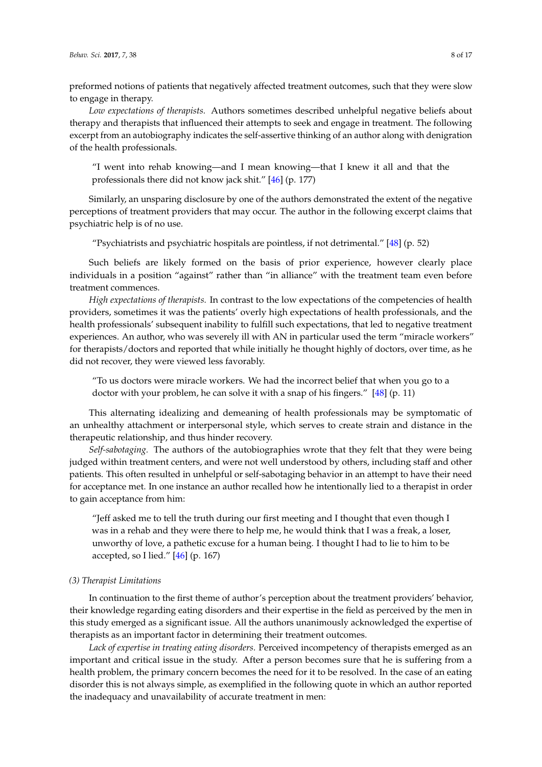preformed notions of patients that negatively affected treatment outcomes, such that they were slow to engage in therapy.

*Low expectations of therapists.* Authors sometimes described unhelpful negative beliefs about therapy and therapists that influenced their attempts to seek and engage in treatment. The following excerpt from an autobiography indicates the self-assertive thinking of an author along with denigration of the health professionals.

"I went into rehab knowing—and I mean knowing—that I knew it all and that the professionals there did not know jack shit." [\[46\]](#page-15-16) (p. 177)

Similarly, an unsparing disclosure by one of the authors demonstrated the extent of the negative perceptions of treatment providers that may occur. The author in the following excerpt claims that psychiatric help is of no use.

"Psychiatrists and psychiatric hospitals are pointless, if not detrimental." [\[48\]](#page-15-18) (p. 52)

Such beliefs are likely formed on the basis of prior experience, however clearly place individuals in a position "against" rather than "in alliance" with the treatment team even before treatment commences.

*High expectations of therapists.* In contrast to the low expectations of the competencies of health providers, sometimes it was the patients' overly high expectations of health professionals, and the health professionals' subsequent inability to fulfill such expectations, that led to negative treatment experiences. An author, who was severely ill with AN in particular used the term "miracle workers" for therapists/doctors and reported that while initially he thought highly of doctors, over time, as he did not recover, they were viewed less favorably.

"To us doctors were miracle workers. We had the incorrect belief that when you go to a doctor with your problem, he can solve it with a snap of his fingers." [\[48\]](#page-15-18) (p. 11)

This alternating idealizing and demeaning of health professionals may be symptomatic of an unhealthy attachment or interpersonal style, which serves to create strain and distance in the therapeutic relationship, and thus hinder recovery.

*Self-sabotaging.* The authors of the autobiographies wrote that they felt that they were being judged within treatment centers, and were not well understood by others, including staff and other patients. This often resulted in unhelpful or self-sabotaging behavior in an attempt to have their need for acceptance met. In one instance an author recalled how he intentionally lied to a therapist in order to gain acceptance from him:

"Jeff asked me to tell the truth during our first meeting and I thought that even though I was in a rehab and they were there to help me, he would think that I was a freak, a loser, unworthy of love, a pathetic excuse for a human being. I thought I had to lie to him to be accepted, so I lied." [\[46\]](#page-15-16) (p. 167)

#### *(3) Therapist Limitations*

In continuation to the first theme of author's perception about the treatment providers' behavior, their knowledge regarding eating disorders and their expertise in the field as perceived by the men in this study emerged as a significant issue. All the authors unanimously acknowledged the expertise of therapists as an important factor in determining their treatment outcomes.

*Lack of expertise in treating eating disorders.* Perceived incompetency of therapists emerged as an important and critical issue in the study. After a person becomes sure that he is suffering from a health problem, the primary concern becomes the need for it to be resolved. In the case of an eating disorder this is not always simple, as exemplified in the following quote in which an author reported the inadequacy and unavailability of accurate treatment in men: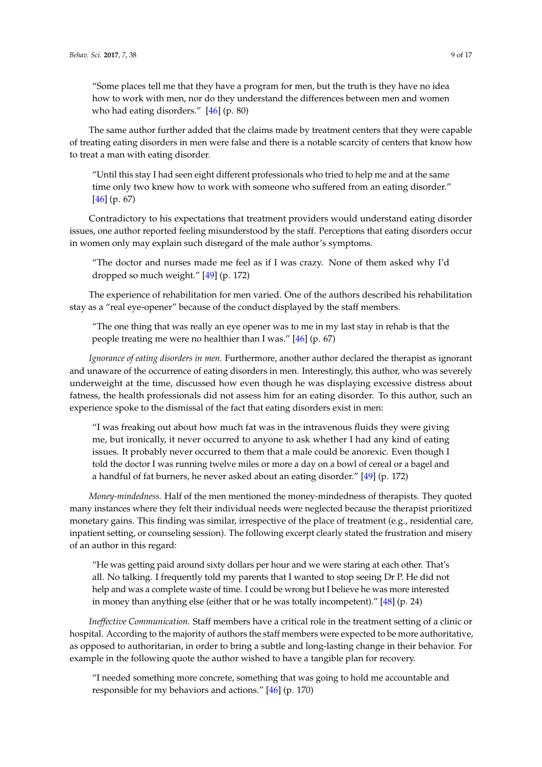"Some places tell me that they have a program for men, but the truth is they have no idea how to work with men, nor do they understand the differences between men and women who had eating disorders." [\[46\]](#page-15-16) (p. 80)

The same author further added that the claims made by treatment centers that they were capable of treating eating disorders in men were false and there is a notable scarcity of centers that know how to treat a man with eating disorder.

"Until this stay I had seen eight different professionals who tried to help me and at the same time only two knew how to work with someone who suffered from an eating disorder."  $[46]$  (p. 67)

Contradictory to his expectations that treatment providers would understand eating disorder issues, one author reported feeling misunderstood by the staff. Perceptions that eating disorders occur in women only may explain such disregard of the male author's symptoms.

"The doctor and nurses made me feel as if I was crazy. None of them asked why I'd dropped so much weight." [\[49\]](#page-15-19) (p. 172)

The experience of rehabilitation for men varied. One of the authors described his rehabilitation stay as a "real eye-opener" because of the conduct displayed by the staff members.

"The one thing that was really an eye opener was to me in my last stay in rehab is that the people treating me were no healthier than I was." [\[46\]](#page-15-16) (p. 67)

*Ignorance of eating disorders in men.* Furthermore, another author declared the therapist as ignorant and unaware of the occurrence of eating disorders in men. Interestingly, this author, who was severely underweight at the time, discussed how even though he was displaying excessive distress about fatness, the health professionals did not assess him for an eating disorder. To this author, such an experience spoke to the dismissal of the fact that eating disorders exist in men:

"I was freaking out about how much fat was in the intravenous fluids they were giving me, but ironically, it never occurred to anyone to ask whether I had any kind of eating issues. It probably never occurred to them that a male could be anorexic. Even though I told the doctor I was running twelve miles or more a day on a bowl of cereal or a bagel and a handful of fat burners, he never asked about an eating disorder." [\[49\]](#page-15-19) (p. 172)

*Money-mindedness.* Half of the men mentioned the money-mindedness of therapists. They quoted many instances where they felt their individual needs were neglected because the therapist prioritized monetary gains. This finding was similar, irrespective of the place of treatment (e.g., residential care, inpatient setting, or counseling session). The following excerpt clearly stated the frustration and misery of an author in this regard:

"He was getting paid around sixty dollars per hour and we were staring at each other. That's all. No talking. I frequently told my parents that I wanted to stop seeing Dr P. He did not help and was a complete waste of time. I could be wrong but I believe he was more interested in money than anything else (either that or he was totally incompetent)." [\[48\]](#page-15-18) (p. 24)

*Ineffective Communication.* Staff members have a critical role in the treatment setting of a clinic or hospital. According to the majority of authors the staff members were expected to be more authoritative, as opposed to authoritarian, in order to bring a subtle and long-lasting change in their behavior. For example in the following quote the author wished to have a tangible plan for recovery.

"I needed something more concrete, something that was going to hold me accountable and responsible for my behaviors and actions." [\[46\]](#page-15-16) (p. 170)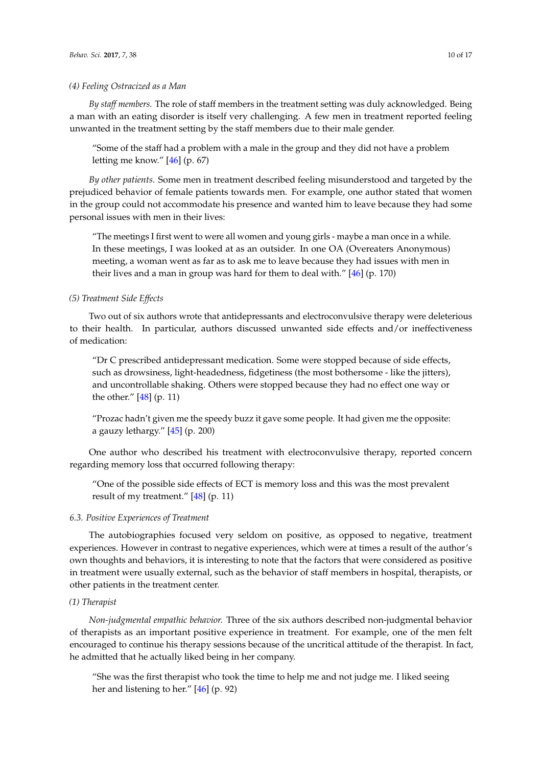*By staff members.* The role of staff members in the treatment setting was duly acknowledged. Being a man with an eating disorder is itself very challenging. A few men in treatment reported feeling unwanted in the treatment setting by the staff members due to their male gender.

"Some of the staff had a problem with a male in the group and they did not have a problem letting me know." [\[46\]](#page-15-16) (p. 67)

*By other patients.* Some men in treatment described feeling misunderstood and targeted by the prejudiced behavior of female patients towards men. For example, one author stated that women in the group could not accommodate his presence and wanted him to leave because they had some personal issues with men in their lives:

"The meetings I first went to were all women and young girls - maybe a man once in a while. In these meetings, I was looked at as an outsider. In one OA (Overeaters Anonymous) meeting, a woman went as far as to ask me to leave because they had issues with men in their lives and a man in group was hard for them to deal with." [\[46\]](#page-15-16) (p. 170)

### *(5) Treatment Side Effects*

Two out of six authors wrote that antidepressants and electroconvulsive therapy were deleterious to their health. In particular, authors discussed unwanted side effects and/or ineffectiveness of medication:

"Dr C prescribed antidepressant medication. Some were stopped because of side effects, such as drowsiness, light-headedness, fidgetiness (the most bothersome - like the jitters), and uncontrollable shaking. Others were stopped because they had no effect one way or the other." [\[48\]](#page-15-18) (p. 11)

"Prozac hadn't given me the speedy buzz it gave some people. It had given me the opposite: a gauzy lethargy."  $[45]$  (p. 200)

One author who described his treatment with electroconvulsive therapy, reported concern regarding memory loss that occurred following therapy:

"One of the possible side effects of ECT is memory loss and this was the most prevalent result of my treatment." [\[48\]](#page-15-18) (p. 11)

# *6.3. Positive Experiences of Treatment*

The autobiographies focused very seldom on positive, as opposed to negative, treatment experiences. However in contrast to negative experiences, which were at times a result of the author's own thoughts and behaviors, it is interesting to note that the factors that were considered as positive in treatment were usually external, such as the behavior of staff members in hospital, therapists, or other patients in the treatment center.

# *(1) Therapist*

*Non-judgmental empathic behavior.* Three of the six authors described non-judgmental behavior of therapists as an important positive experience in treatment. For example, one of the men felt encouraged to continue his therapy sessions because of the uncritical attitude of the therapist. In fact, he admitted that he actually liked being in her company.

"She was the first therapist who took the time to help me and not judge me. I liked seeing her and listening to her." [\[46\]](#page-15-16) (p. 92)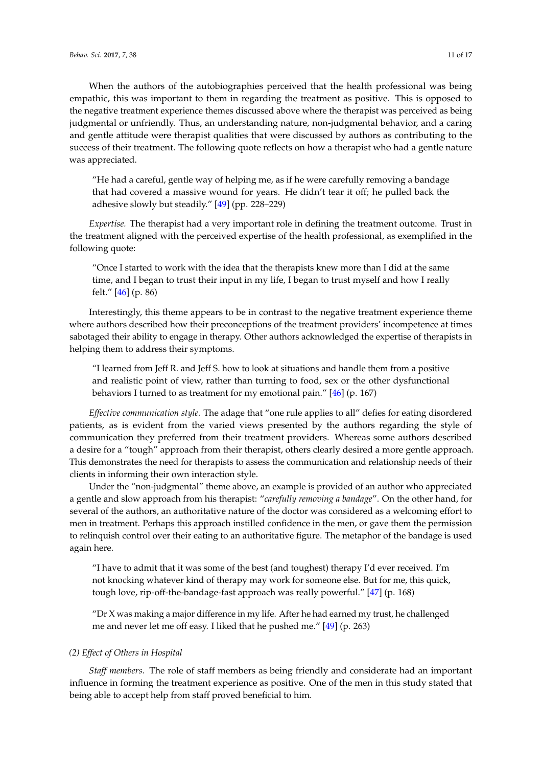When the authors of the autobiographies perceived that the health professional was being empathic, this was important to them in regarding the treatment as positive. This is opposed to the negative treatment experience themes discussed above where the therapist was perceived as being judgmental or unfriendly. Thus, an understanding nature, non-judgmental behavior, and a caring and gentle attitude were therapist qualities that were discussed by authors as contributing to the success of their treatment. The following quote reflects on how a therapist who had a gentle nature was appreciated.

"He had a careful, gentle way of helping me, as if he were carefully removing a bandage that had covered a massive wound for years. He didn't tear it off; he pulled back the adhesive slowly but steadily." [\[49\]](#page-15-19) (pp. 228–229)

*Expertise.* The therapist had a very important role in defining the treatment outcome. Trust in the treatment aligned with the perceived expertise of the health professional, as exemplified in the following quote:

"Once I started to work with the idea that the therapists knew more than I did at the same time, and I began to trust their input in my life, I began to trust myself and how I really felt." [\[46\]](#page-15-16) (p. 86)

Interestingly, this theme appears to be in contrast to the negative treatment experience theme where authors described how their preconceptions of the treatment providers' incompetence at times sabotaged their ability to engage in therapy. Other authors acknowledged the expertise of therapists in helping them to address their symptoms.

"I learned from Jeff R. and Jeff S. how to look at situations and handle them from a positive and realistic point of view, rather than turning to food, sex or the other dysfunctional behaviors I turned to as treatment for my emotional pain." [\[46\]](#page-15-16) (p. 167)

*Effective communication style.* The adage that "one rule applies to all" defies for eating disordered patients, as is evident from the varied views presented by the authors regarding the style of communication they preferred from their treatment providers. Whereas some authors described a desire for a "tough" approach from their therapist, others clearly desired a more gentle approach. This demonstrates the need for therapists to assess the communication and relationship needs of their clients in informing their own interaction style.

Under the "non-judgmental" theme above, an example is provided of an author who appreciated a gentle and slow approach from his therapist: "*carefully removing a bandage*". On the other hand, for several of the authors, an authoritative nature of the doctor was considered as a welcoming effort to men in treatment. Perhaps this approach instilled confidence in the men, or gave them the permission to relinquish control over their eating to an authoritative figure. The metaphor of the bandage is used again here.

"I have to admit that it was some of the best (and toughest) therapy I'd ever received. I'm not knocking whatever kind of therapy may work for someone else. But for me, this quick, tough love, rip-off-the-bandage-fast approach was really powerful." [\[47\]](#page-15-17) (p. 168)

"Dr X was making a major difference in my life. After he had earned my trust, he challenged me and never let me off easy. I liked that he pushed me." [\[49\]](#page-15-19) (p. 263)

#### *(2) Effect of Others in Hospital*

*Staff members.* The role of staff members as being friendly and considerate had an important influence in forming the treatment experience as positive. One of the men in this study stated that being able to accept help from staff proved beneficial to him.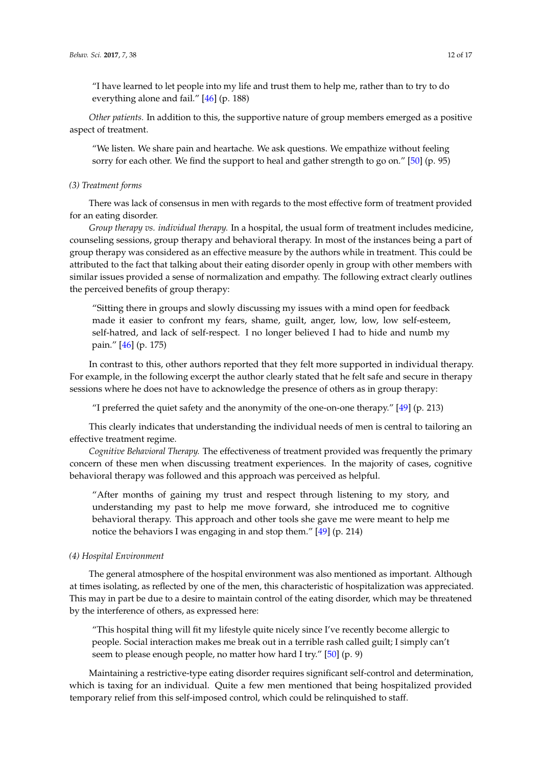"I have learned to let people into my life and trust them to help me, rather than to try to do everything alone and fail." [\[46\]](#page-15-16) (p. 188)

*Other patients.* In addition to this, the supportive nature of group members emerged as a positive aspect of treatment.

"We listen. We share pain and heartache. We ask questions. We empathize without feeling sorry for each other. We find the support to heal and gather strength to go on." [\[50\]](#page-15-20) (p. 95)

#### *(3) Treatment forms*

There was lack of consensus in men with regards to the most effective form of treatment provided for an eating disorder.

*Group therapy vs. individual therapy.* In a hospital, the usual form of treatment includes medicine, counseling sessions, group therapy and behavioral therapy. In most of the instances being a part of group therapy was considered as an effective measure by the authors while in treatment. This could be attributed to the fact that talking about their eating disorder openly in group with other members with similar issues provided a sense of normalization and empathy. The following extract clearly outlines the perceived benefits of group therapy:

"Sitting there in groups and slowly discussing my issues with a mind open for feedback made it easier to confront my fears, shame, guilt, anger, low, low, low self-esteem, self-hatred, and lack of self-respect. I no longer believed I had to hide and numb my pain." [\[46\]](#page-15-16) (p. 175)

In contrast to this, other authors reported that they felt more supported in individual therapy. For example, in the following excerpt the author clearly stated that he felt safe and secure in therapy sessions where he does not have to acknowledge the presence of others as in group therapy:

"I preferred the quiet safety and the anonymity of the one-on-one therapy."  $[49]$  (p. 213)

This clearly indicates that understanding the individual needs of men is central to tailoring an effective treatment regime.

*Cognitive Behavioral Therapy.* The effectiveness of treatment provided was frequently the primary concern of these men when discussing treatment experiences. In the majority of cases, cognitive behavioral therapy was followed and this approach was perceived as helpful.

"After months of gaining my trust and respect through listening to my story, and understanding my past to help me move forward, she introduced me to cognitive behavioral therapy. This approach and other tools she gave me were meant to help me notice the behaviors I was engaging in and stop them." [\[49\]](#page-15-19) (p. 214)

#### *(4) Hospital Environment*

The general atmosphere of the hospital environment was also mentioned as important. Although at times isolating, as reflected by one of the men, this characteristic of hospitalization was appreciated. This may in part be due to a desire to maintain control of the eating disorder, which may be threatened by the interference of others, as expressed here:

"This hospital thing will fit my lifestyle quite nicely since I've recently become allergic to people. Social interaction makes me break out in a terrible rash called guilt; I simply can't seem to please enough people, no matter how hard I try." [\[50\]](#page-15-20) (p. 9)

Maintaining a restrictive-type eating disorder requires significant self-control and determination, which is taxing for an individual. Quite a few men mentioned that being hospitalized provided temporary relief from this self-imposed control, which could be relinquished to staff.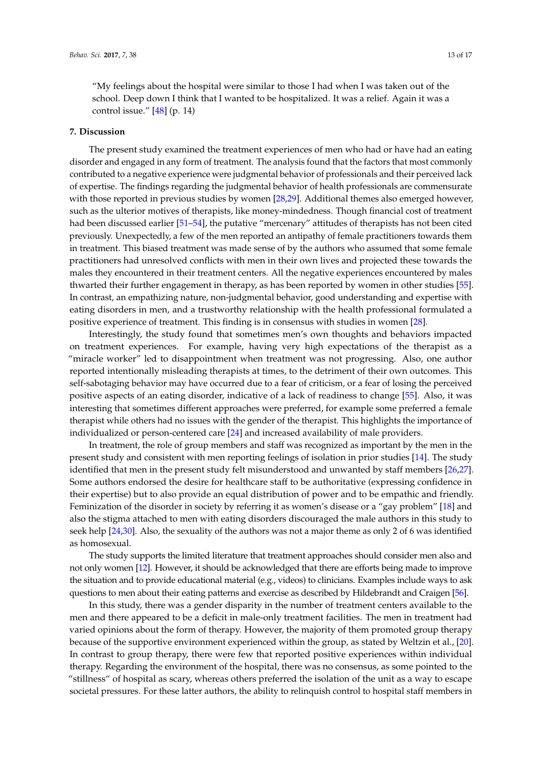"My feelings about the hospital were similar to those I had when I was taken out of the school. Deep down I think that I wanted to be hospitalized. It was a relief. Again it was a control issue." [\[48\]](#page-15-18) (p. 14)

#### **7. Discussion**

The present study examined the treatment experiences of men who had or have had an eating disorder and engaged in any form of treatment. The analysis found that the factors that most commonly contributed to a negative experience were judgmental behavior of professionals and their perceived lack of expertise. The findings regarding the judgmental behavior of health professionals are commensurate with those reported in previous studies by women [\[28](#page-15-0)[,29\]](#page-15-1). Additional themes also emerged however, such as the ulterior motives of therapists, like money-mindedness. Though financial cost of treatment had been discussed earlier [\[51](#page-15-26)[–54\]](#page-15-27), the putative "mercenary" attitudes of therapists has not been cited previously. Unexpectedly, a few of the men reported an antipathy of female practitioners towards them in treatment. This biased treatment was made sense of by the authors who assumed that some female practitioners had unresolved conflicts with men in their own lives and projected these towards the males they encountered in their treatment centers. All the negative experiences encountered by males thwarted their further engagement in therapy, as has been reported by women in other studies [\[55\]](#page-16-0). In contrast, an empathizing nature, non-judgmental behavior, good understanding and expertise with eating disorders in men, and a trustworthy relationship with the health professional formulated a positive experience of treatment. This finding is in consensus with studies in women [\[28\]](#page-15-0).

Interestingly, the study found that sometimes men's own thoughts and behaviors impacted on treatment experiences. For example, having very high expectations of the therapist as a "miracle worker" led to disappointment when treatment was not progressing. Also, one author reported intentionally misleading therapists at times, to the detriment of their own outcomes. This self-sabotaging behavior may have occurred due to a fear of criticism, or a fear of losing the perceived positive aspects of an eating disorder, indicative of a lack of readiness to change [\[55\]](#page-16-0). Also, it was interesting that sometimes different approaches were preferred, for example some preferred a female therapist while others had no issues with the gender of the therapist. This highlights the importance of individualized or person-centered care [\[24\]](#page-14-22) and increased availability of male providers.

In treatment, the role of group members and staff was recognized as important by the men in the present study and consistent with men reporting feelings of isolation in prior studies [\[14\]](#page-14-11). The study identified that men in the present study felt misunderstood and unwanted by staff members [\[26,](#page-14-23)[27\]](#page-14-24). Some authors endorsed the desire for healthcare staff to be authoritative (expressing confidence in their expertise) but to also provide an equal distribution of power and to be empathic and friendly. Feminization of the disorder in society by referring it as women's disease or a "gay problem" [\[18\]](#page-14-15) and also the stigma attached to men with eating disorders discouraged the male authors in this study to seek help [\[24,](#page-14-22)[30\]](#page-15-2). Also, the sexuality of the authors was not a major theme as only 2 of 6 was identified as homosexual.

The study supports the limited literature that treatment approaches should consider men also and not only women [\[12\]](#page-14-9). However, it should be acknowledged that there are efforts being made to improve the situation and to provide educational material (e.g., videos) to clinicians. Examples include ways to ask questions to men about their eating patterns and exercise as described by Hildebrandt and Craigen [\[56\]](#page-16-1).

In this study, there was a gender disparity in the number of treatment centers available to the men and there appeared to be a deficit in male-only treatment facilities. The men in treatment had varied opinions about the form of therapy. However, the majority of them promoted group therapy because of the supportive environment experienced within the group, as stated by Weltzin et al., [\[20\]](#page-14-17). In contrast to group therapy, there were few that reported positive experiences within individual therapy. Regarding the environment of the hospital, there was no consensus, as some pointed to the "stillness" of hospital as scary, whereas others preferred the isolation of the unit as a way to escape societal pressures. For these latter authors, the ability to relinquish control to hospital staff members in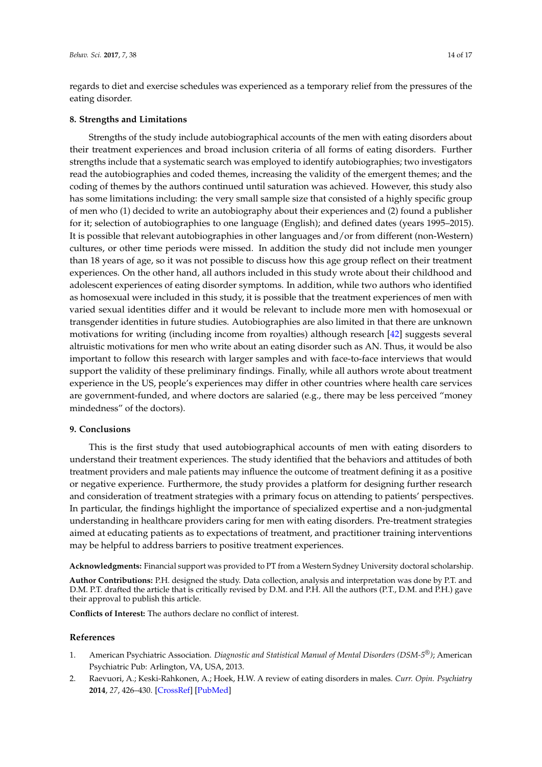regards to diet and exercise schedules was experienced as a temporary relief from the pressures of the eating disorder.

#### **8. Strengths and Limitations**

Strengths of the study include autobiographical accounts of the men with eating disorders about their treatment experiences and broad inclusion criteria of all forms of eating disorders. Further strengths include that a systematic search was employed to identify autobiographies; two investigators read the autobiographies and coded themes, increasing the validity of the emergent themes; and the coding of themes by the authors continued until saturation was achieved. However, this study also has some limitations including: the very small sample size that consisted of a highly specific group of men who (1) decided to write an autobiography about their experiences and (2) found a publisher for it; selection of autobiographies to one language (English); and defined dates (years 1995–2015). It is possible that relevant autobiographies in other languages and/or from different (non-Western) cultures, or other time periods were missed. In addition the study did not include men younger than 18 years of age, so it was not possible to discuss how this age group reflect on their treatment experiences. On the other hand, all authors included in this study wrote about their childhood and adolescent experiences of eating disorder symptoms. In addition, while two authors who identified as homosexual were included in this study, it is possible that the treatment experiences of men with varied sexual identities differ and it would be relevant to include more men with homosexual or transgender identities in future studies. Autobiographies are also limited in that there are unknown motivations for writing (including income from royalties) although research [\[42\]](#page-15-12) suggests several altruistic motivations for men who write about an eating disorder such as AN. Thus, it would be also important to follow this research with larger samples and with face-to-face interviews that would support the validity of these preliminary findings. Finally, while all authors wrote about treatment experience in the US, people's experiences may differ in other countries where health care services are government-funded, and where doctors are salaried (e.g., there may be less perceived "money mindedness" of the doctors).

# **9. Conclusions**

This is the first study that used autobiographical accounts of men with eating disorders to understand their treatment experiences. The study identified that the behaviors and attitudes of both treatment providers and male patients may influence the outcome of treatment defining it as a positive or negative experience. Furthermore, the study provides a platform for designing further research and consideration of treatment strategies with a primary focus on attending to patients' perspectives. In particular, the findings highlight the importance of specialized expertise and a non-judgmental understanding in healthcare providers caring for men with eating disorders. Pre-treatment strategies aimed at educating patients as to expectations of treatment, and practitioner training interventions may be helpful to address barriers to positive treatment experiences.

**Acknowledgments:** Financial support was provided to PT from a Western Sydney University doctoral scholarship.

**Author Contributions:** P.H. designed the study. Data collection, analysis and interpretation was done by P.T. and D.M. P.T. drafted the article that is critically revised by D.M. and P.H. All the authors (P.T., D.M. and P.H.) gave their approval to publish this article.

**Conflicts of Interest:** The authors declare no conflict of interest.

#### **References**

- <span id="page-13-0"></span>1. American Psychiatric Association. *Diagnostic and Statistical Manual of Mental Disorders (DSM-5®)*; American Psychiatric Pub: Arlington, VA, USA, 2013.
- <span id="page-13-1"></span>2. Raevuori, A.; Keski-Rahkonen, A.; Hoek, H.W. A review of eating disorders in males. *Curr. Opin. Psychiatry* **2014**, *27*, 426–430. [\[CrossRef\]](http://dx.doi.org/10.1097/YCO.0000000000000113) [\[PubMed\]](http://www.ncbi.nlm.nih.gov/pubmed/25226158)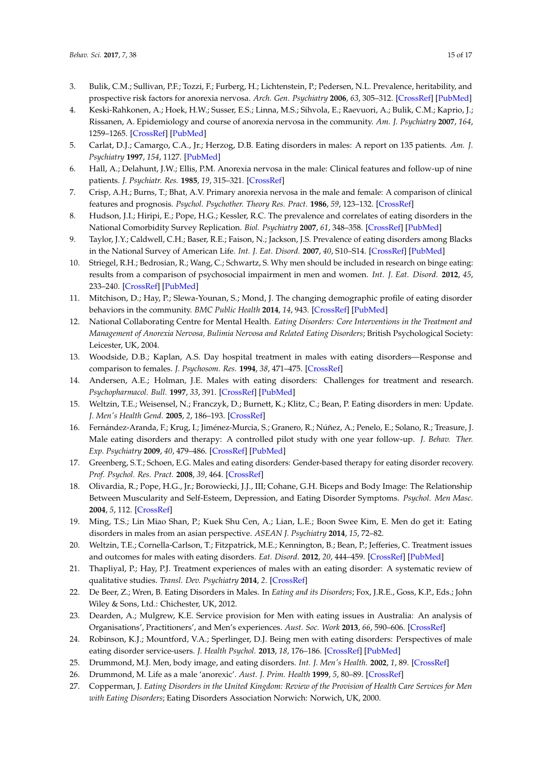- <span id="page-14-0"></span>3. Bulik, C.M.; Sullivan, P.F.; Tozzi, F.; Furberg, H.; Lichtenstein, P.; Pedersen, N.L. Prevalence, heritability, and prospective risk factors for anorexia nervosa. *Arch. Gen. Psychiatry* **2006**, *63*, 305–312. [\[CrossRef\]](http://dx.doi.org/10.1001/archpsyc.63.3.305) [\[PubMed\]](http://www.ncbi.nlm.nih.gov/pubmed/16520436)
- <span id="page-14-1"></span>4. Keski-Rahkonen, A.; Hoek, H.W.; Susser, E.S.; Linna, M.S.; Sihvola, E.; Raevuori, A.; Bulik, C.M.; Kaprio, J.; Rissanen, A. Epidemiology and course of anorexia nervosa in the community. *Am. J. Psychiatry* **2007**, *164*, 1259–1265. [\[CrossRef\]](http://dx.doi.org/10.1176/appi.ajp.2007.06081388) [\[PubMed\]](http://www.ncbi.nlm.nih.gov/pubmed/17671290)
- <span id="page-14-2"></span>5. Carlat, D.J.; Camargo, C.A., Jr.; Herzog, D.B. Eating disorders in males: A report on 135 patients. *Am. J. Psychiatry* **1997**, *154*, 1127. [\[PubMed\]](http://www.ncbi.nlm.nih.gov/pubmed/9247400)
- <span id="page-14-3"></span>6. Hall, A.; Delahunt, J.W.; Ellis, P.M. Anorexia nervosa in the male: Clinical features and follow-up of nine patients. *J. Psychiatr. Res.* **1985**, *19*, 315–321. [\[CrossRef\]](http://dx.doi.org/10.1016/0022-3956(85)90034-2)
- <span id="page-14-4"></span>7. Crisp, A.H.; Burns, T.; Bhat, A.V. Primary anorexia nervosa in the male and female: A comparison of clinical features and prognosis. *Psychol. Psychother. Theory Res. Pract.* **1986**, *59*, 123–132. [\[CrossRef\]](http://dx.doi.org/10.1111/j.2044-8341.1986.tb02676.x)
- <span id="page-14-5"></span>8. Hudson, J.I.; Hiripi, E.; Pope, H.G.; Kessler, R.C. The prevalence and correlates of eating disorders in the National Comorbidity Survey Replication. *Biol. Psychiatry* **2007**, *61*, 348–358. [\[CrossRef\]](http://dx.doi.org/10.1016/j.biopsych.2006.03.040) [\[PubMed\]](http://www.ncbi.nlm.nih.gov/pubmed/16815322)
- <span id="page-14-6"></span>9. Taylor, J.Y.; Caldwell, C.H.; Baser, R.E.; Faison, N.; Jackson, J.S. Prevalence of eating disorders among Blacks in the National Survey of American Life. *Int. J. Eat. Disord.* **2007**, *40*, S10–S14. [\[CrossRef\]](http://dx.doi.org/10.1002/eat.20451) [\[PubMed\]](http://www.ncbi.nlm.nih.gov/pubmed/17879287)
- <span id="page-14-7"></span>10. Striegel, R.H.; Bedrosian, R.; Wang, C.; Schwartz, S. Why men should be included in research on binge eating: results from a comparison of psychosocial impairment in men and women. *Int. J. Eat. Disord.* **2012**, *45*, 233–240. [\[CrossRef\]](http://dx.doi.org/10.1002/eat.20962) [\[PubMed\]](http://www.ncbi.nlm.nih.gov/pubmed/22031213)
- <span id="page-14-8"></span>11. Mitchison, D.; Hay, P.; Slewa-Younan, S.; Mond, J. The changing demographic profile of eating disorder behaviors in the community. *BMC Public Health* **2014**, *14*, 943. [\[CrossRef\]](http://dx.doi.org/10.1186/1471-2458-14-943) [\[PubMed\]](http://www.ncbi.nlm.nih.gov/pubmed/25213544)
- <span id="page-14-9"></span>12. National Collaborating Centre for Mental Health. *Eating Disorders: Core Interventions in the Treatment and Management of Anorexia Nervosa, Bulimia Nervosa and Related Eating Disorders*; British Psychological Society: Leicester, UK, 2004.
- <span id="page-14-10"></span>13. Woodside, D.B.; Kaplan, A.S. Day hospital treatment in males with eating disorders—Response and comparison to females. *J. Psychosom. Res.* **1994**, *38*, 471–475. [\[CrossRef\]](http://dx.doi.org/10.1016/0022-3999(94)90108-2)
- <span id="page-14-11"></span>14. Andersen, A.E.; Holman, J.E. Males with eating disorders: Challenges for treatment and research. *Psychopharmacol. Bull.* **1997**, *33*, 391. [\[CrossRef\]](http://dx.doi.org/10.1097/00000446-199811000-00012) [\[PubMed\]](http://www.ncbi.nlm.nih.gov/pubmed/9550883)
- <span id="page-14-12"></span>15. Weltzin, T.E.; Weisensel, N.; Franczyk, D.; Burnett, K.; Klitz, C.; Bean, P. Eating disorders in men: Update. *J. Men's Health Gend.* **2005**, *2*, 186–193. [\[CrossRef\]](http://dx.doi.org/10.1016/j.jmhg.2005.04.008)
- <span id="page-14-13"></span>16. Fernández-Aranda, F.; Krug, I.; Jiménez-Murcia, S.; Granero, R.; Núñez, A.; Penelo, E.; Solano, R.; Treasure, J. Male eating disorders and therapy: A controlled pilot study with one year follow-up. *J. Behav. Ther. Exp. Psychiatry* **2009**, *40*, 479–486. [\[CrossRef\]](http://dx.doi.org/10.1016/j.jbtep.2009.06.004) [\[PubMed\]](http://www.ncbi.nlm.nih.gov/pubmed/19595294)
- <span id="page-14-14"></span>17. Greenberg, S.T.; Schoen, E.G. Males and eating disorders: Gender-based therapy for eating disorder recovery. *Prof. Psychol. Res. Pract.* **2008**, *39*, 464. [\[CrossRef\]](http://dx.doi.org/10.1037/0735-7028.39.4.464)
- <span id="page-14-15"></span>18. Olivardia, R.; Pope, H.G., Jr.; Borowiecki, J.J., III; Cohane, G.H. Biceps and Body Image: The Relationship Between Muscularity and Self-Esteem, Depression, and Eating Disorder Symptoms. *Psychol. Men Masc.* **2004**, *5*, 112. [\[CrossRef\]](http://dx.doi.org/10.1037/1524-9220.5.2.112)
- <span id="page-14-16"></span>19. Ming, T.S.; Lin Miao Shan, P.; Kuek Shu Cen, A.; Lian, L.E.; Boon Swee Kim, E. Men do get it: Eating disorders in males from an asian perspective. *ASEAN J. Psychiatry* **2014**, *15*, 72–82.
- <span id="page-14-17"></span>20. Weltzin, T.E.; Cornella-Carlson, T.; Fitzpatrick, M.E.; Kennington, B.; Bean, P.; Jefferies, C. Treatment issues and outcomes for males with eating disorders. *Eat. Disord.* **2012**, *20*, 444–459. [\[CrossRef\]](http://dx.doi.org/10.1080/10640266.2012.715527) [\[PubMed\]](http://www.ncbi.nlm.nih.gov/pubmed/22985241)
- <span id="page-14-18"></span>21. Thapliyal, P.; Hay, P.J. Treatment experiences of males with an eating disorder: A systematic review of qualitative studies. *Transl. Dev. Psychiatry* **2014**, *2*. [\[CrossRef\]](http://dx.doi.org/10.3402/tdp.v2.25552)
- <span id="page-14-19"></span>22. De Beer, Z.; Wren, B. Eating Disorders in Males. In *Eating and its Disorders*; Fox, J.R.E., Goss, K.P., Eds.; John Wiley & Sons, Ltd.: Chichester, UK, 2012.
- <span id="page-14-21"></span>23. Dearden, A.; Mulgrew, K.E. Service provision for Men with eating issues in Australia: An analysis of Organisations', Practitioners', and Men's experiences. *Aust. Soc. Work* **2013**, *66*, 590–606. [\[CrossRef\]](http://dx.doi.org/10.1080/0312407X.2013.778306)
- <span id="page-14-22"></span>24. Robinson, K.J.; Mountford, V.A.; Sperlinger, D.J. Being men with eating disorders: Perspectives of male eating disorder service-users. *J. Health Psychol.* **2013**, *18*, 176–186. [\[CrossRef\]](http://dx.doi.org/10.1177/1359105312440298) [\[PubMed\]](http://www.ncbi.nlm.nih.gov/pubmed/22453166)
- <span id="page-14-20"></span>25. Drummond, M.J. Men, body image, and eating disorders. *Int. J. Men's Health.* **2002**, *1*, 89. [\[CrossRef\]](http://dx.doi.org/10.3149/jmh.0101.89)
- <span id="page-14-23"></span>26. Drummond, M. Life as a male 'anorexic'. *Aust. J. Prim. Health* **1999**, *5*, 80–89. [\[CrossRef\]](http://dx.doi.org/10.1071/PY99021)
- <span id="page-14-24"></span>27. Copperman, J. *Eating Disorders in the United Kingdom: Review of the Provision of Health Care Services for Men with Eating Disorders*; Eating Disorders Association Norwich: Norwich, UK, 2000.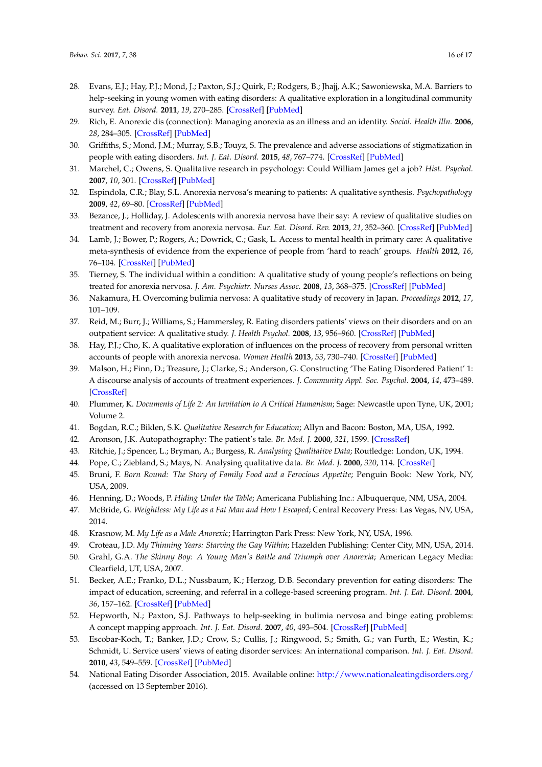- <span id="page-15-0"></span>28. Evans, E.J.; Hay, P.J.; Mond, J.; Paxton, S.J.; Quirk, F.; Rodgers, B.; Jhajj, A.K.; Sawoniewska, M.A. Barriers to help-seeking in young women with eating disorders: A qualitative exploration in a longitudinal community survey. *Eat. Disord.* **2011**, *19*, 270–285. [\[CrossRef\]](http://dx.doi.org/10.1080/10640266.2011.566152) [\[PubMed\]](http://www.ncbi.nlm.nih.gov/pubmed/21516551)
- <span id="page-15-1"></span>29. Rich, E. Anorexic dis (connection): Managing anorexia as an illness and an identity. *Sociol. Health Illn.* **2006**, *28*, 284–305. [\[CrossRef\]](http://dx.doi.org/10.1111/j.1467-9566.2006.00493.x) [\[PubMed\]](http://www.ncbi.nlm.nih.gov/pubmed/16573717)
- <span id="page-15-2"></span>30. Griffiths, S.; Mond, J.M.; Murray, S.B.; Touyz, S. The prevalence and adverse associations of stigmatization in people with eating disorders. *Int. J. Eat. Disord.* **2015**, *48*, 767–774. [\[CrossRef\]](http://dx.doi.org/10.1002/eat.22353) [\[PubMed\]](http://www.ncbi.nlm.nih.gov/pubmed/25196068)
- <span id="page-15-3"></span>31. Marchel, C.; Owens, S. Qualitative research in psychology: Could William James get a job? *Hist. Psychol.* **2007**, *10*, 301. [\[CrossRef\]](http://dx.doi.org/10.1037/1093-4510.10.4.301) [\[PubMed\]](http://www.ncbi.nlm.nih.gov/pubmed/18348429)
- <span id="page-15-4"></span>32. Espindola, C.R.; Blay, S.L. Anorexia nervosa's meaning to patients: A qualitative synthesis. *Psychopathology* **2009**, *42*, 69–80. [\[CrossRef\]](http://dx.doi.org/10.1159/000203339) [\[PubMed\]](http://www.ncbi.nlm.nih.gov/pubmed/19225241)
- <span id="page-15-5"></span>33. Bezance, J.; Holliday, J. Adolescents with anorexia nervosa have their say: A review of qualitative studies on treatment and recovery from anorexia nervosa. *Eur. Eat. Disord. Rev.* **2013**, *21*, 352–360. [\[CrossRef\]](http://dx.doi.org/10.1002/erv.2239) [\[PubMed\]](http://www.ncbi.nlm.nih.gov/pubmed/23765431)
- <span id="page-15-21"></span><span id="page-15-6"></span>34. Lamb, J.; Bower, P.; Rogers, A.; Dowrick, C.; Gask, L. Access to mental health in primary care: A qualitative meta-synthesis of evidence from the experience of people from 'hard to reach' groups. *Health* **2012**, *16*, 76–104. [\[CrossRef\]](http://dx.doi.org/10.1177/1363459311403945) [\[PubMed\]](http://www.ncbi.nlm.nih.gov/pubmed/21486918)
- <span id="page-15-23"></span><span id="page-15-22"></span>35. Tierney, S. The individual within a condition: A qualitative study of young people's reflections on being treated for anorexia nervosa. *J. Am. Psychiatr. Nurses Assoc.* **2008**, *13*, 368–375. [\[CrossRef\]](http://dx.doi.org/10.1177/1078390307309215) [\[PubMed\]](http://www.ncbi.nlm.nih.gov/pubmed/21672876)
- <span id="page-15-24"></span>36. Nakamura, H. Overcoming bulimia nervosa: A qualitative study of recovery in Japan. *Proceedings* **2012**, *17*, 101–109.
- <span id="page-15-25"></span><span id="page-15-7"></span>37. Reid, M.; Burr, J.; Williams, S.; Hammersley, R. Eating disorders patients' views on their disorders and on an outpatient service: A qualitative study. *J. Health Psychol.* **2008**, *13*, 956–960. [\[CrossRef\]](http://dx.doi.org/10.1177/1359105308095070) [\[PubMed\]](http://www.ncbi.nlm.nih.gov/pubmed/18809647)
- <span id="page-15-8"></span>38. Hay, P.J.; Cho, K. A qualitative exploration of influences on the process of recovery from personal written accounts of people with anorexia nervosa. *Women Health* **2013**, *53*, 730–740. [\[CrossRef\]](http://dx.doi.org/10.1080/03630242.2013.821694) [\[PubMed\]](http://www.ncbi.nlm.nih.gov/pubmed/24093452)
- <span id="page-15-9"></span>39. Malson, H.; Finn, D.; Treasure, J.; Clarke, S.; Anderson, G. Constructing 'The Eating Disordered Patient' 1: A discourse analysis of accounts of treatment experiences. *J. Community Appl. Soc. Psychol.* **2004**, *14*, 473–489. [\[CrossRef\]](http://dx.doi.org/10.1002/casp.804)
- <span id="page-15-10"></span>40. Plummer, K. *Documents of Life 2: An Invitation to A Critical Humanism*; Sage: Newcastle upon Tyne, UK, 2001; Volume 2.
- <span id="page-15-11"></span>41. Bogdan, R.C.; Biklen, S.K. *Qualitative Research for Education*; Allyn and Bacon: Boston, MA, USA, 1992.
- <span id="page-15-12"></span>42. Aronson, J.K. Autopathography: The patient's tale. *Br. Med. J.* **2000**, *321*, 1599. [\[CrossRef\]](http://dx.doi.org/10.1136/bmj.321.7276.1599)
- <span id="page-15-13"></span>43. Ritchie, J.; Spencer, L.; Bryman, A.; Burgess, R. *Analysing Qualitative Data*; Routledge: London, UK, 1994.
- <span id="page-15-14"></span>44. Pope, C.; Ziebland, S.; Mays, N. Analysing qualitative data. *Br. Med. J.* **2000**, *320*, 114. [\[CrossRef\]](http://dx.doi.org/10.1136/bmj.320.7227.114)
- <span id="page-15-15"></span>45. Bruni, F. *Born Round: The Story of Family Food and a Ferocious Appetite*; Penguin Book: New York, NY, USA, 2009.
- <span id="page-15-16"></span>46. Henning, D.; Woods, P. *Hiding Under the Table*; Americana Publishing Inc.: Albuquerque, NM, USA, 2004.
- <span id="page-15-17"></span>47. McBride, G. *Weightless: My Life as a Fat Man and How I Escaped*; Central Recovery Press: Las Vegas, NV, USA, 2014.
- <span id="page-15-18"></span>48. Krasnow, M. *My Life as a Male Anorexic*; Harrington Park Press: New York, NY, USA, 1996.
- <span id="page-15-19"></span>49. Croteau, J.D. *My Thinning Years: Starving the Gay Within*; Hazelden Publishing: Center City, MN, USA, 2014.
- <span id="page-15-20"></span>50. Grahl, G.A. *The Skinny Boy: A Young Man's Battle and Triumph over Anorexia*; American Legacy Media: Clearfield, UT, USA, 2007.
- <span id="page-15-26"></span>51. Becker, A.E.; Franko, D.L.; Nussbaum, K.; Herzog, D.B. Secondary prevention for eating disorders: The impact of education, screening, and referral in a college-based screening program. *Int. J. Eat. Disord.* **2004**, *36*, 157–162. [\[CrossRef\]](http://dx.doi.org/10.1002/eat.20023) [\[PubMed\]](http://www.ncbi.nlm.nih.gov/pubmed/15282685)
- 52. Hepworth, N.; Paxton, S.J. Pathways to help-seeking in bulimia nervosa and binge eating problems: A concept mapping approach. *Int. J. Eat. Disord.* **2007**, *40*, 493–504. [\[CrossRef\]](http://dx.doi.org/10.1002/eat.20402) [\[PubMed\]](http://www.ncbi.nlm.nih.gov/pubmed/17573682)
- 53. Escobar-Koch, T.; Banker, J.D.; Crow, S.; Cullis, J.; Ringwood, S.; Smith, G.; van Furth, E.; Westin, K.; Schmidt, U. Service users' views of eating disorder services: An international comparison. *Int. J. Eat. Disord.* **2010**, *43*, 549–559. [\[CrossRef\]](http://dx.doi.org/10.1002/eat.20741) [\[PubMed\]](http://www.ncbi.nlm.nih.gov/pubmed/19718664)
- <span id="page-15-27"></span>54. National Eating Disorder Association, 2015. Available online: <http://www.nationaleatingdisorders.org/> (accessed on 13 September 2016).